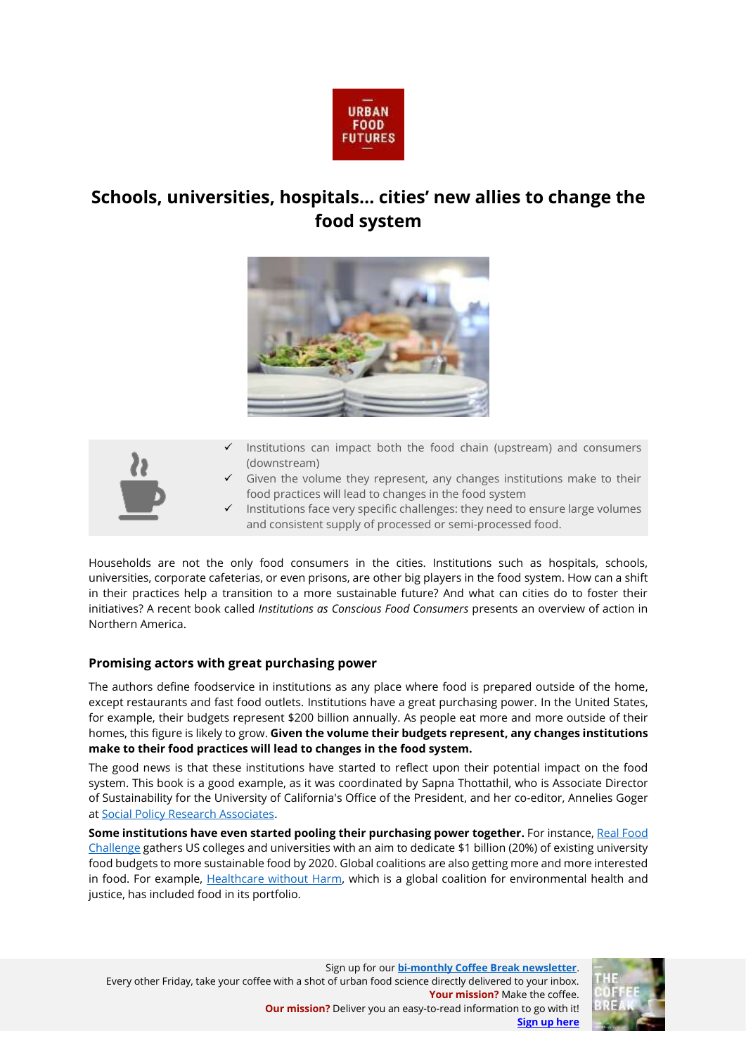

# **Schools, universities, hospitals… cities' new allies to change the food system**





- Institutions can impact both the food chain (upstream) and consumers (downstream)
- Given the volume they represent, any changes institutions make to their food practices will lead to changes in the food system
- Institutions face very specific challenges: they need to ensure large volumes and consistent supply of processed or semi-processed food.

Households are not the only food consumers in the cities. Institutions such as hospitals, schools, universities, corporate cafeterias, or even prisons, are other big players in the food system. How can a shift in their practices help a transition to a more sustainable future? And what can cities do to foster their initiatives? A recent book called *Institutions as Conscious Food Consumers* presents an overview of action in Northern America.

## **Promising actors with great purchasing power**

The authors define foodservice in institutions as any place where food is prepared outside of the home, except restaurants and fast food outlets. Institutions have a great purchasing power. In the United States, for example, their budgets represent \$200 billion annually. As people eat more and more outside of their homes, this figure is likely to grow. **Given the volume their budgets represent, any changes institutions make to their food practices will lead to changes in the food system.**

The good news is that these institutions have started to reflect upon their potential impact on the food system. This book is a good example, as it was coordinated by Sapna Thottathil, who is Associate Director of Sustainability for the University of California's Office of the President, and her co-editor, Annelies Goger a[t Social Policy Research Associates.](https://www.spra.com/about-spr/our-team/)

**Some institutions have even started pooling their purchasing power together.** For instance[, Real Food](https://www.realfoodchallenge.org/)  [Challenge](https://www.realfoodchallenge.org/) gathers US colleges and universities with an aim to dedicate \$1 billion (20%) of existing university food budgets to more sustainable food by 2020. Global coalitions are also getting more and more interested in food. For example, [Healthcare without Harm,](https://noharm.org/) which is a global coalition for environmental health and justice, has included food in its portfolio.